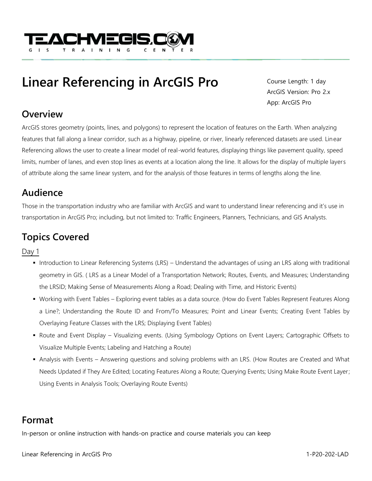

# **Linear Referencing in ArcGIS Pro**

Course Length: 1 day ArcGIS Version: Pro 2.x App: ArcGIS Pro

#### **Overview**

ArcGIS stores geometry (points, lines, and polygons) to represent the location of features on the Earth. When analyzing features that fall along a linear corridor, such as a highway, pipeline, or river, linearly referenced datasets are used. Linear Referencing allows the user to create a linear model of real-world features, displaying things like pavement quality, speed limits, number of lanes, and even stop lines as events at a location along the line. It allows for the display of multiple layers of attribute along the same linear system, and for the analysis of those features in terms of lengths along the line.

### **Audience**

Those in the transportation industry who are familiar with ArcGIS and want to understand linear referencing and it's use in transportation in ArcGIS Pro; including, but not limited to: Traffic Engineers, Planners, Technicians, and GIS Analysts.

## **Topics Covered**

Day 1

- Introduction to Linear Referencing Systems (LRS) Understand the advantages of using an LRS along with traditional geometry in GIS. ( LRS as a Linear Model of a Transportation Network; Routes, Events, and Measures; Understanding the LRSID; Making Sense of Measurements Along a Road; Dealing with Time, and Historic Events)
- Working with Event Tables Exploring event tables as a data source. (How do Event Tables Represent Features Along a Line?; Understanding the Route ID and From/To Measures; Point and Linear Events; Creating Event Tables by Overlaying Feature Classes with the LRS; Displaying Event Tables)
- Route and Event Display Visualizing events. (Using Symbology Options on Event Layers; Cartographic Offsets to Visualize Multiple Events; Labeling and Hatching a Route)
- Analysis with Events Answering questions and solving problems with an LRS. (How Routes are Created and What Needs Updated if They Are Edited; Locating Features Along a Route; Querying Events; Using Make Route Event Layer; Using Events in Analysis Tools; Overlaying Route Events)

## **Format**

In-person or online instruction with hands-on practice and course materials you can keep